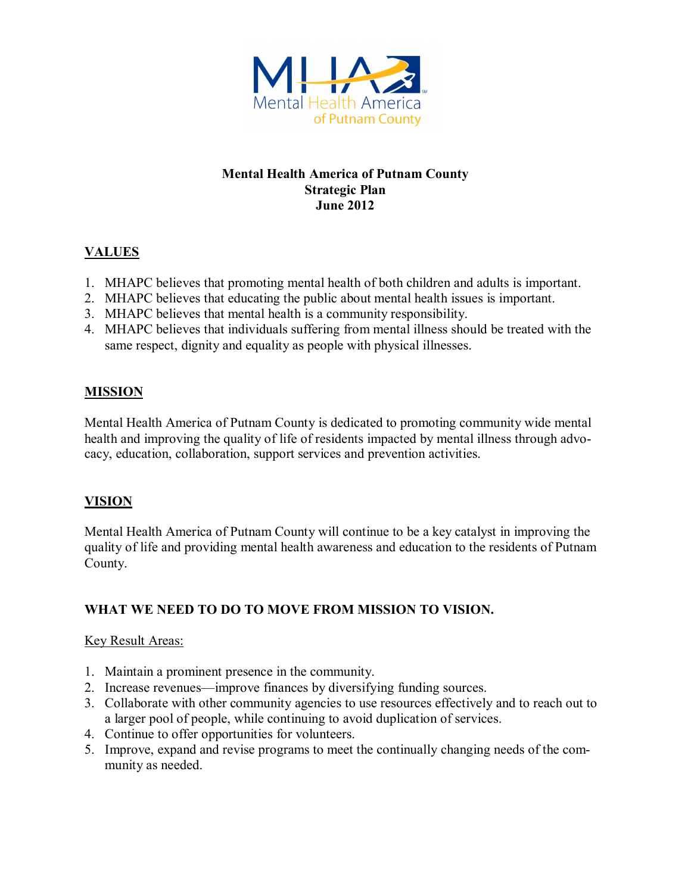

### **Mental Health America of Putnam County Strategic Plan June 2012**

# **VALUES**

- 1. MHAPC believes that promoting mental health of both children and adults is important.
- 2. MHAPC believes that educating the public about mental health issues is important.
- 3. MHAPC believes that mental health is a community responsibility.
- 4. MHAPC believes that individuals suffering from mental illness should be treated with the same respect, dignity and equality as people with physical illnesses.

# **MISSION**

Mental Health America of Putnam County is dedicated to promoting community wide mental health and improving the quality of life of residents impacted by mental illness through advocacy, education, collaboration, support services and prevention activities.

# **VISION**

Mental Health America of Putnam County will continue to be a key catalyst in improving the quality of life and providing mental health awareness and education to the residents of Putnam County.

# **WHAT WE NEED TO DO TO MOVE FROM MISSION TO VISION.**

### Key Result Areas:

- 1. Maintain a prominent presence in the community.
- 2. Increase revenues—improve finances by diversifying funding sources.
- 3. Collaborate with other community agencies to use resources effectively and to reach out to a larger pool of people, while continuing to avoid duplication of services.
- 4. Continue to offer opportunities for volunteers.
- 5. Improve, expand and revise programs to meet the continually changing needs of the community as needed.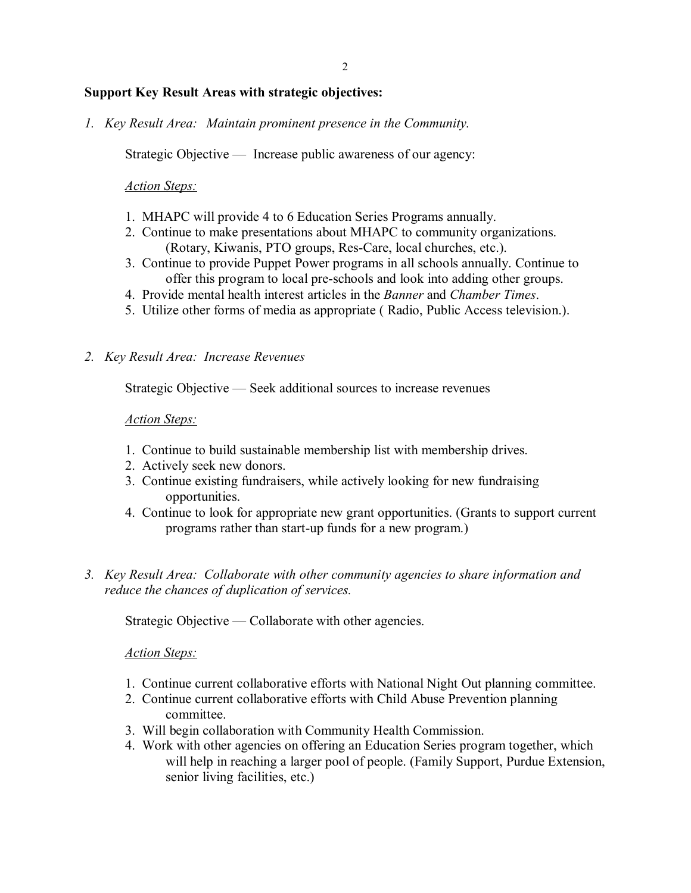### **Support Key Result Areas with strategic objectives:**

*1. Key Result Area: Maintain prominent presence in the Community.* 

Strategic Objective — Increase public awareness of our agency:

### *Action Steps:*

- 1. MHAPC will provide 4 to 6 Education Series Programs annually.
- 2. Continue to make presentations about MHAPC to community organizations. (Rotary, Kiwanis, PTO groups, Res-Care, local churches, etc.).
- 3. Continue to provide Puppet Power programs in all schools annually. Continue to offer this program to local pre-schools and look into adding other groups.
- 4. Provide mental health interest articles in the *Banner* and *Chamber Times*.
- 5. Utilize other forms of media as appropriate ( Radio, Public Access television.).

#### *2. Key Result Area: Increase Revenues*

Strategic Objective — Seek additional sources to increase revenues

#### *Action Steps:*

- 1. Continue to build sustainable membership list with membership drives.
- 2. Actively seek new donors.
- 3. Continue existing fundraisers, while actively looking for new fundraising opportunities.
- 4. Continue to look for appropriate new grant opportunities. (Grants to support current programs rather than start-up funds for a new program.)
- *3. Key Result Area: Collaborate with other community agencies to share information and reduce the chances of duplication of services.*

Strategic Objective — Collaborate with other agencies.

### *Action Steps:*

- 1. Continue current collaborative efforts with National Night Out planning committee.
- 2. Continue current collaborative efforts with Child Abuse Prevention planning committee.
- 3. Will begin collaboration with Community Health Commission.
- 4. Work with other agencies on offering an Education Series program together, which will help in reaching a larger pool of people. (Family Support, Purdue Extension, senior living facilities, etc.)